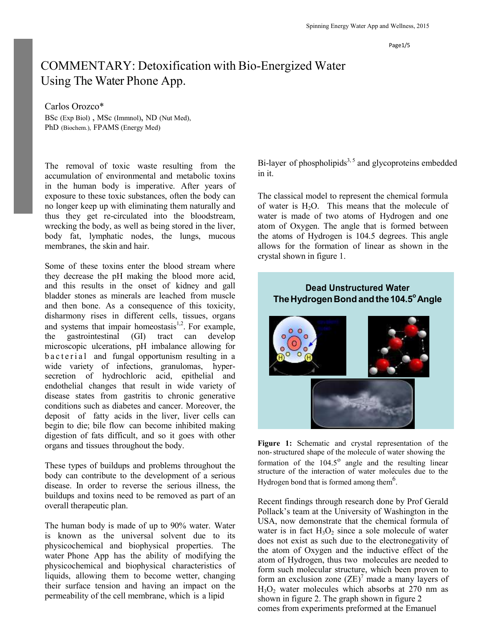Page1/5

# COMMENTARY: Detoxification with Bio-Energized Water Using The Water Phone App.

Carlos Orozco\* BSc (Exp Biol) , MSc (Immnol), ND (Nut Med), PhD (Biochem.), FPAMS (Energy Med)

The removal of toxic waste resulting from the accumulation of environmental and metabolic toxins in the human body is imperative. After years of exposure to these toxic substances, often the body can no longer keep up with eliminating them naturally and thus they get re-circulated into the bloodstream, wrecking the body, as well as being stored in the liver, body fat, lymphatic nodes, the lungs, mucous membranes, the skin and hair.

Some of these toxins enter the blood stream where they decrease the pH making the blood more acid, and this results in the onset of kidney and gall bladder stones as minerals are leached from muscle and then bone. As a consequence of this toxicity, disharmony rises in different cells, tissues, organs and systems that impair homeostasis $1,2$ . For example, the gastrointestinal (GI) tract can develop microscopic ulcerations, pH imbalance allowing for b a c t e rial and fungal opportunism resulting in a wide variety of infections, granulomas, hypersecretion of hydrochloric acid, epithelial and endothelial changes that result in wide variety of disease states from gastritis to chronic generative conditions such as diabetes and cancer. Moreover, the deposit of fatty acids in the liver, liver cells can begin to die; bile flow can become inhibited making digestion of fats difficult, and so it goes with other organs and tissues throughout the body.

These types of buildups and problems throughout the body can contribute to the development of a serious disease. In order to reverse the serious illness, the buildups and toxins need to be removed as part of an overall therapeutic plan.

The human body is made of up to 90% water. Water is known as the universal solvent due to its physicochemical and biophysical properties. The water Phone App has the ability of modifying the physicochemical and biophysical characteristics of liquids, allowing them to become wetter, changing their surface tension and having an impact on the permeability of the cell membrane, which is a lipid

Bi-layer of phospholipids<sup>3,5</sup> and glycoproteins embedded in it.

The classical model to represent the chemical formula of water is  $H_2O$ . This means that the molecule of water is made of two atoms of Hydrogen and one atom of Oxygen. The angle that is formed between the atoms of Hydrogen is 104.5 degrees. This angle allows for the formation of linear as shown in the crystal shown in figure 1.

## **Dead Unstructured Water TheHydrogenBondandthe104.5<sup>o</sup>Angle**



**Figure 1:** Schematic and crystal representation of the non-structured shape of the molecule of water showing the formation of the  $104.5^{\circ}$  angle and the resulting linear structure of the interaction of water molecules due to the Hydrogen bond that is formed among them $6$ .

Recent findings through research done by Prof Gerald Pollack's team at the University of Washington in the USA, now demonstrate that the chemical formula of water is in fact  $H_3O_2$  since a sole molecule of water does not exist as such due to the electronegativity of the atom of Oxygen and the inductive effect of the atom of Hydrogen, thus two molecules are needed to form such molecular structure, which been proven to form an exclusion zone  $(ZE)^7$  made a many layers of  $H<sub>3</sub>O<sub>2</sub>$  water molecules which absorbs at 270 nm as shown in figure 2. The graph shown in figure 2 comes from experiments preformed at the Emanuel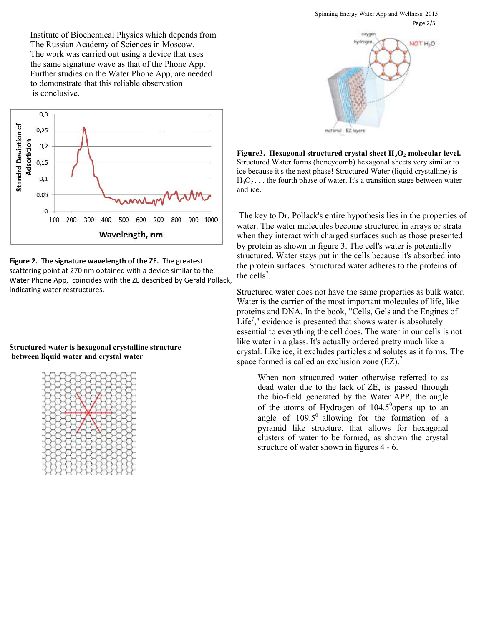

**Figure 2. The signature wavelength of the ZE.** The greatest scattering point at 270 nm obtained with a device similar to the Water Phone App, coincides with the ZE described by Gerald Pollack, indicating water restructures.

### **Structured water is hexagonal crystalline structure between liquid water and crystal water**





**Figure3. Hexagonal structured crystal sheet H3O<sup>2</sup> molecular level.**  Structured Water forms (honeycomb) hexagonal sheets very similar to ice because it's the next phase! Structured Water (liquid crystalline) is  $H_3O_2 \ldots$  the fourth phase of water. It's a transition stage between water and ice.

The key to Dr. Pollack's entire hypothesis lies in the properties of water. The water molecules become structured in arrays or strata when they interact with charged surfaces such as those presented by protein as shown in figure 3. The cell's water is potentially structured. Water stays put in the cells because it's absorbed into the protein surfaces. Structured water adheres to the proteins of the cells<sup>7</sup>.

Structured water does not have the same properties as bulk water. Water is the carrier of the most important molecules of life, like proteins and DNA. In the book, "Cells, Gels and the Engines of Life<sup>7</sup>," evidence is presented that shows water is absolutely essential to everything the cell does. The water in our cells is not like water in a glass. It's actually ordered pretty much like a crystal. Like ice, it excludes particles and solutes as it forms. The space formed is called an exclusion zone  $(EZ)$ .<sup>7</sup>

When non structured water otherwise referred to as dead water due to the lack of ZE, is passed through the bio-field generated by the Water APP, the angle of the atoms of Hydrogen of  $104.5^{\circ}$ opens up to an angle of  $109.5^{\circ}$  allowing for the formation of a pyramid like structure, that allows for hexagonal clusters of water to be formed, as shown the crystal structure of water shown in figures 4 - 6.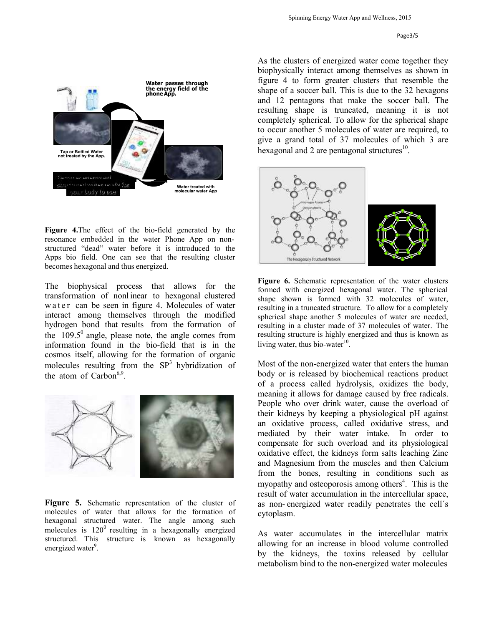

**Figure 4.**The effect of the bio-field generated by the resonance embedded in the water Phone App on nonstructured "dead" water before it is introduced to the Apps bio field. One can see that the resulting cluster becomes hexagonal and thus energized.

The biophysical process that allows for the transformation of nonl inear to hexagonal clustered w a t e r can be seen in figure 4. Molecules of water interact among themselves through the modified hydrogen bond that results from the formation of the  $109.5^{\circ}$  angle, please note, the angle comes from information found in the bio-field that is in the cosmos itself, allowing for the formation of organic molecules resulting from the  $SP<sup>3</sup>$  hybridization of the atom of Carbon $6.9$ .



**Figure 5.** Schematic representation of the cluster of molecules of water that allows for the formation of hexagonal structured water. The angle among such molecules is  $120^0$  resulting in a hexagonally energized structured. This structure is known as hexagonally energized water<sup>9</sup>.

As the clusters of energized water come together they biophysically interact among themselves as shown in figure 4 to form greater clusters that resemble the shape of a soccer ball. This is due to the 32 hexagons and 12 pentagons that make the soccer ball. The resulting shape is truncated, meaning it is not completely spherical. To allow for the spherical shape to occur another 5 molecules of water are required, to give a grand total of 37 molecules of which 3 are hexagonal and 2 are pentagonal structures $^{10}$ .



**Figure 6.** Schematic representation of the water clusters formed with energized hexagonal water. The spherical shape shown is formed with 32 molecules of water, resulting in a truncated structure. To allow for a completely spherical shape another 5 molecules of water are needed, resulting in a cluster made of 37 molecules of water. The resulting structure is highly energized and thus is known as living water, thus bio-water $10$ .

Most of the non-energized water that enters the human body or is released by biochemical reactions product of a process called hydrolysis, oxidizes the body, meaning it allows for damage caused by free radicals. People who over drink water, cause the overload of their kidneys by keeping a physiological pH against an oxidative process, called oxidative stress, and mediated by their water intake. In order to compensate for such overload and its physiological oxidative effect, the kidneys form salts leaching Zinc and Magnesium from the muscles and then Calcium from the bones, resulting in conditions such as myopathy and osteoporosis among others $4$ . This is the result of water accumulation in the intercellular space, as non- energized water readily penetrates the cell´s cytoplasm.

As water accumulates in the intercellular matrix allowing for an increase in blood volume controlled by the kidneys, the toxins released by cellular metabolism bind to the non-energized water molecules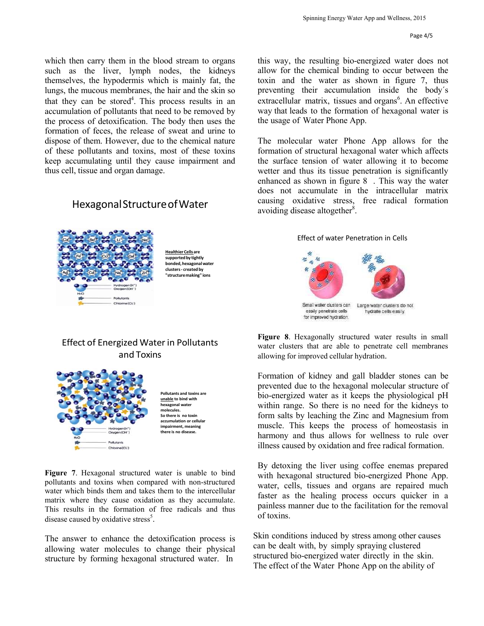which then carry them in the blood stream to organs such as the liver, lymph nodes, the kidneys themselves, the hypodermis which is mainly fat, the lungs, the mucous membranes, the hair and the skin so that they can be stored<sup>4</sup>. This process results in an accumulation of pollutants that need to be removed by the process of detoxification. The body then uses the formation of feces, the release of sweat and urine to dispose of them. However, due to the chemical nature of these pollutants and toxins, most of these toxins keep accumulating until they cause impairment and thus cell, tissue and organ damage.

### HexagonalStructureofWater



**HealthierCells are supportedby tightly bonded,hexagonalwater clusters- created by "structuremaking" ions**

### Effect of Energized Waterin Pollutants and Toxins



**Figure 7**. Hexagonal structured water is unable to bind pollutants and toxins when compared with non-structured water which binds them and takes them to the intercellular matrix where they cause oxidation as they accumulate. This results in the formation of free radicals and thus disease caused by oxidative stress<sup>5</sup>.

The answer to enhance the detoxification process is allowing water molecules to change their physical structure by forming hexagonal structured water. In

this way, the resulting bio-energized water does not allow for the chemical binding to occur between the toxin and the water as shown in figure 7, thus preventing their accumulation inside the body´s extracellular matrix, tissues and organs<sup>6</sup>. An effective way that leads to the formation of hexagonal water is the usage of Water Phone App.

The molecular water Phone App allows for the formation of structural hexagonal water which affects the surface tension of water allowing it to become wetter and thus its tissue penetration is significantly enhanced as shown in figure 8 . This way the water does not accumulate in the intracellular matrix causing oxidative stress, free radical formation avoiding disease altogether<sup>8</sup>.

#### Effect of water Penetration in Cells



**Figure 8**. Hexagonally structured water results in small water clusters that are able to penetrate cell membranes allowing for improved cellular hydration.

Formation of kidney and gall bladder stones can be prevented due to the hexagonal molecular structure of bio-energized water as it keeps the physiological pH within range. So there is no need for the kidneys to form salts by leaching the Zinc and Magnesium from muscle. This keeps the process of homeostasis in harmony and thus allows for wellness to rule over illness caused by oxidation and free radical formation.

By detoxing the liver using coffee enemas prepared with hexagonal structured bio-energized Phone App. water, cells, tissues and organs are repaired much faster as the healing process occurs quicker in a painless manner due to the facilitation for the removal of toxins.

Skin conditions induced by stress among other causes can be dealt with, by simply spraying clustered structured bio-energized water directly in the skin. The effect of the Water Phone App on the ability of